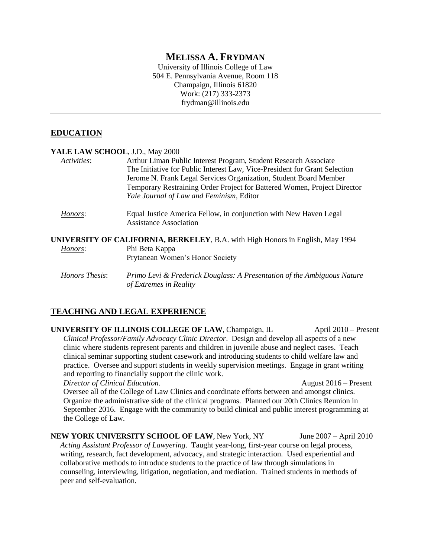# **MELISSA A. FRYDMAN**

University of Illinois College of Law 504 E. Pennsylvania Avenue, Room 118 Champaign, Illinois 61820 Work: (217) 333-2373 frydman@illinois.edu

#### **EDUCATION**

| YALE LAW SCHOOL, J.D., May 2000 |                                                                                                                                                                                                                                                                                                                                             |
|---------------------------------|---------------------------------------------------------------------------------------------------------------------------------------------------------------------------------------------------------------------------------------------------------------------------------------------------------------------------------------------|
| Activities:                     | Arthur Liman Public Interest Program, Student Research Associate<br>The Initiative for Public Interest Law, Vice-President for Grant Selection<br>Jerome N. Frank Legal Services Organization, Student Board Member<br>Temporary Restraining Order Project for Battered Women, Project Director<br>Yale Journal of Law and Feminism, Editor |
| Honors:                         | Equal Justice America Fellow, in conjunction with New Haven Legal<br><b>Assistance Association</b>                                                                                                                                                                                                                                          |
| Honors:                         | <b>UNIVERSITY OF CALIFORNIA, BERKELEY, B.A. with High Honors in English, May 1994</b><br>Phi Beta Kappa<br>Prytanean Women's Honor Society                                                                                                                                                                                                  |
| Honors Thesis:                  | Primo Levi & Frederick Douglass: A Presentation of the Ambiguous Nature<br>of Extremes in Reality                                                                                                                                                                                                                                           |

# **TEACHING AND LEGAL EXPERIENCE**

**UNIVERSITY OF ILLINOIS COLLEGE OF LAW**, Champaign, IL April 2010 – Present *Clinical Professor/Family Advocacy Clinic Director*. Design and develop all aspects of a new clinic where students represent parents and children in juvenile abuse and neglect cases. Teach clinical seminar supporting student casework and introducing students to child welfare law and practice. Oversee and support students in weekly supervision meetings. Engage in grant writing and reporting to financially support the clinic work.

*Director of Clinical Education.* August 2016 – Present

Oversee all of the College of Law Clinics and coordinate efforts between and amongst clinics. Organize the administrative side of the clinical programs. Planned our 20th Clinics Reunion in September 2016. Engage with the community to build clinical and public interest programming at the College of Law.

**NEW YORK UNIVERSITY SCHOOL OF LAW, New York, NY** June 2007 – April 2010 *Acting Assistant Professor of Lawyering*. Taught year-long, first-year course on legal process, writing, research, fact development, advocacy, and strategic interaction. Used experiential and collaborative methods to introduce students to the practice of law through simulations in counseling, interviewing, litigation, negotiation, and mediation. Trained students in methods of peer and self-evaluation.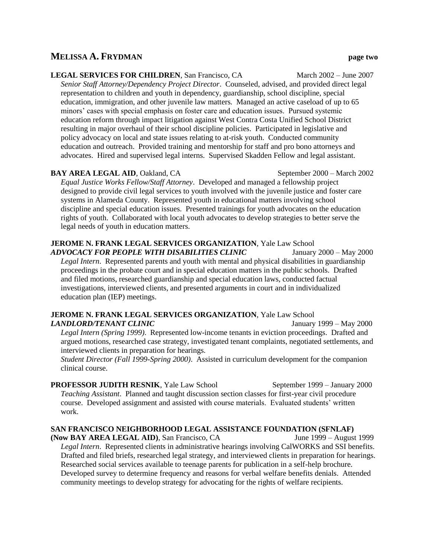### **MELISSA A. FRYDMAN page two**

#### **LEGAL SERVICES FOR CHILDREN, San Francisco, CA** March 2002 – June 2007

*Senior Staff Attorney/Dependency Project Director*. Counseled, advised, and provided direct legal representation to children and youth in dependency, guardianship, school discipline, special education, immigration, and other juvenile law matters. Managed an active caseload of up to 65 minors' cases with special emphasis on foster care and education issues. Pursued systemic education reform through impact litigation against West Contra Costa Unified School District resulting in major overhaul of their school discipline policies. Participated in legislative and policy advocacy on local and state issues relating to at-risk youth. Conducted community education and outreach. Provided training and mentorship for staff and pro bono attorneys and advocates. Hired and supervised legal interns. Supervised Skadden Fellow and legal assistant.

#### **BAY AREA LEGAL AID, Oakland, CA** September 2000 – March 2002

*Equal Justice Works Fellow/Staff Attorney*. Developed and managed a fellowship project designed to provide civil legal services to youth involved with the juvenile justice and foster care systems in Alameda County. Represented youth in educational matters involving school discipline and special education issues. Presented trainings for youth advocates on the education rights of youth. Collaborated with local youth advocates to develop strategies to better serve the legal needs of youth in education matters.

# **JEROME N. FRANK LEGAL SERVICES ORGANIZATION**, Yale Law School

*ADVOCACY FOR PEOPLE WITH DISABILITIES CLINIC* January 2000 – May 2000 *Legal Intern*. Represented parents and youth with mental and physical disabilities in guardianship proceedings in the probate court and in special education matters in the public schools. Drafted and filed motions, researched guardianship and special education laws, conducted factual investigations, interviewed clients, and presented arguments in court and in individualized education plan (IEP) meetings.

#### **JEROME N. FRANK LEGAL SERVICES ORGANIZATION**, Yale Law School *LANDLORD/TENANT CLINIC* January 1999 – May 2000

*Legal Intern (Spring 1999)*. Represented low-income tenants in eviction proceedings. Drafted and argued motions, researched case strategy, investigated tenant complaints, negotiated settlements, and interviewed clients in preparation for hearings.

*Student Director (Fall 1999-Spring 2000)*. Assisted in curriculum development for the companion clinical course.

**PROFESSOR JUDITH RESNIK**, Yale Law School September 1999 – January 2000 *Teaching Assistant*. Planned and taught discussion section classes for first-year civil procedure course. Developed assignment and assisted with course materials. Evaluated students' written work.

# **SAN FRANCISCO NEIGHBORHOOD LEGAL ASSISTANCE FOUNDATION (SFNLAF)**

**(Now BAY AREA LEGAL AID)**, San Francisco, CA June 1999 – August 1999 *Legal Intern*. Represented clients in administrative hearings involving CalWORKS and SSI benefits. Drafted and filed briefs, researched legal strategy, and interviewed clients in preparation for hearings. Researched social services available to teenage parents for publication in a self-help brochure. Developed survey to determine frequency and reasons for verbal welfare benefits denials. Attended community meetings to develop strategy for advocating for the rights of welfare recipients.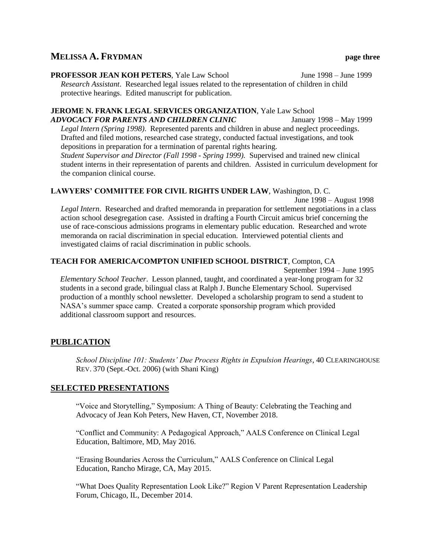# **MELISSA A. FRYDMAN page three**

**PROFESSOR JEAN KOH PETERS**, Yale Law School June 1998 – June 1999 *Research Assistant*. Researched legal issues related to the representation of children in child protective hearings. Edited manuscript for publication.

#### **JEROME N. FRANK LEGAL SERVICES ORGANIZATION**, Yale Law School *ADVOCACY FOR PARENTS AND CHILDREN CLINIC* January 1998 – May 1999 *Legal Intern (Spring 1998)*. Represented parents and children in abuse and neglect proceedings.

Drafted and filed motions, researched case strategy, conducted factual investigations, and took depositions in preparation for a termination of parental rights hearing. *Student Supervisor and Director (Fall 1998 - Spring 1999).* Supervised and trained new clinical student interns in their representation of parents and children. Assisted in curriculum development for the companion clinical course.

#### **LAWYERS' COMMITTEE FOR CIVIL RIGHTS UNDER LAW**, Washington, D. C.

June 1998 – August 1998 *Legal Intern*. Researched and drafted memoranda in preparation for settlement negotiations in a class action school desegregation case. Assisted in drafting a Fourth Circuit amicus brief concerning the use of race-conscious admissions programs in elementary public education. Researched and wrote memoranda on racial discrimination in special education. Interviewed potential clients and investigated claims of racial discrimination in public schools.

# **TEACH FOR AMERICA/COMPTON UNIFIED SCHOOL DISTRICT**, Compton, CA

September 1994 – June 1995

*Elementary School Teacher*. Lesson planned, taught, and coordinated a year-long program for 32 students in a second grade, bilingual class at Ralph J. Bunche Elementary School. Supervised production of a monthly school newsletter. Developed a scholarship program to send a student to NASA's summer space camp. Created a corporate sponsorship program which provided additional classroom support and resources.

# **PUBLICATION**

*School Discipline 101: Students' Due Process Rights in Expulsion Hearings*, 40 CLEARINGHOUSE REV. 370 (Sept.-Oct. 2006) (with Shani King)

#### **SELECTED PRESENTATIONS**

"Voice and Storytelling," Symposium: A Thing of Beauty: Celebrating the Teaching and Advocacy of Jean Koh Peters, New Haven, CT, November 2018.

"Conflict and Community: A Pedagogical Approach," AALS Conference on Clinical Legal Education, Baltimore, MD, May 2016.

"Erasing Boundaries Across the Curriculum," AALS Conference on Clinical Legal Education, Rancho Mirage, CA, May 2015.

"What Does Quality Representation Look Like?" Region V Parent Representation Leadership Forum, Chicago, IL, December 2014.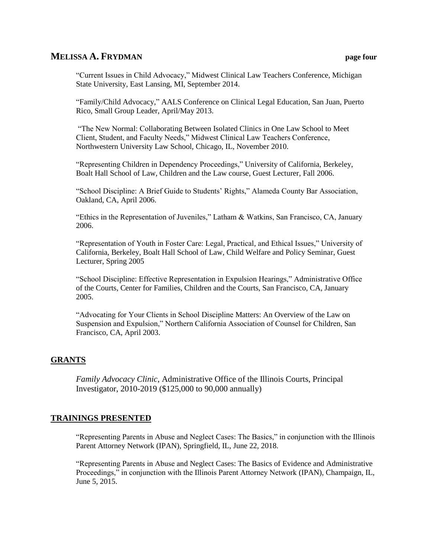### **MELISSA A. FRYDMAN page four**

"Current Issues in Child Advocacy," Midwest Clinical Law Teachers Conference, Michigan State University, East Lansing, MI, September 2014.

"Family/Child Advocacy," AALS Conference on Clinical Legal Education, San Juan, Puerto Rico, Small Group Leader, April/May 2013.

"The New Normal: Collaborating Between Isolated Clinics in One Law School to Meet Client, Student, and Faculty Needs," Midwest Clinical Law Teachers Conference, Northwestern University Law School, Chicago, IL, November 2010.

"Representing Children in Dependency Proceedings," University of California, Berkeley, Boalt Hall School of Law, Children and the Law course, Guest Lecturer, Fall 2006.

"School Discipline: A Brief Guide to Students' Rights," Alameda County Bar Association, Oakland, CA, April 2006.

"Ethics in the Representation of Juveniles," Latham & Watkins, San Francisco, CA, January 2006.

"Representation of Youth in Foster Care: Legal, Practical, and Ethical Issues," University of California, Berkeley, Boalt Hall School of Law, Child Welfare and Policy Seminar, Guest Lecturer, Spring 2005

"School Discipline: Effective Representation in Expulsion Hearings," Administrative Office of the Courts, Center for Families, Children and the Courts, San Francisco, CA, January 2005.

"Advocating for Your Clients in School Discipline Matters: An Overview of the Law on Suspension and Expulsion," Northern California Association of Counsel for Children, San Francisco, CA, April 2003.

#### **GRANTS**

*Family Advocacy Clinic*, Administrative Office of the Illinois Courts, Principal Investigator, 2010-2019 (\$125,000 to 90,000 annually)

#### **TRAININGS PRESENTED**

"Representing Parents in Abuse and Neglect Cases: The Basics," in conjunction with the Illinois Parent Attorney Network (IPAN), Springfield, IL, June 22, 2018.

"Representing Parents in Abuse and Neglect Cases: The Basics of Evidence and Administrative Proceedings," in conjunction with the Illinois Parent Attorney Network (IPAN), Champaign, IL, June 5, 2015.